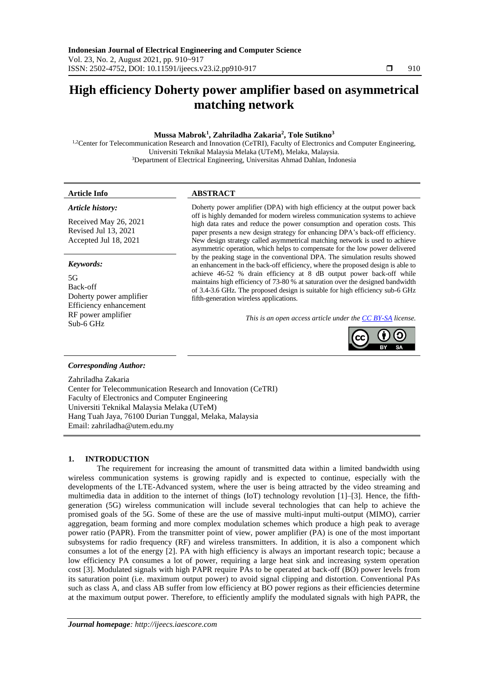# **High efficiency Doherty power amplifier based on asymmetrical matching network**

#### **Mussa Mabrok<sup>1</sup> , Zahriladha Zakaria<sup>2</sup> , Tole Sutikno<sup>3</sup>**

<sup>1,2</sup>Center for Telecommunication Research and Innovation (CeTRI), Faculty of Electronics and Computer Engineering, Universiti Teknikal Malaysia Melaka (UTeM), Melaka, Malaysia. <sup>3</sup>Department of Electrical Engineering, Universitas Ahmad Dahlan, Indonesia

#### *Article history:*

Received May 26, 2021 Revised Jul 13, 2021 Accepted Jul 18, 2021

#### *Keywords:*

 $5<sub>G</sub>$ Back-off Doherty power amplifier Efficiency enhancement RF power amplifier Sub-6 GHz

### **Article Info ABSTRACT**

Doherty power amplifier (DPA) with high efficiency at the output power back off is highly demanded for modern wireless communication systems to achieve high data rates and reduce the power consumption and operation costs. This paper presents a new design strategy for enhancing DPA's back-off efficiency. New design strategy called asymmetrical matching network is used to achieve asymmetric operation, which helps to compensate for the low power delivered by the peaking stage in the conventional DPA. The simulation results showed an enhancement in the back-off efficiency, where the proposed design is able to achieve 46-52 % drain efficiency at 8 dB output power back-off while maintains high efficiency of 73-80 % at saturation over the designed bandwidth of 3.4-3.6 GHz. The proposed design is suitable for high efficiency sub-6 GHz fifth-generation wireless applications.

*This is an open access article under the [CC BY-SA](https://creativecommons.org/licenses/by-sa/4.0/) license.*



#### *Corresponding Author:*

Zahriladha Zakaria Center for Telecommunication Research and Innovation (CeTRI) Faculty of Electronics and Computer Engineering Universiti Teknikal Malaysia Melaka (UTeM) Hang Tuah Jaya, 76100 Durian Tunggal, Melaka, Malaysia Email: zahriladha@utem.edu.my

#### **1. INTRODUCTION**

The requirement for increasing the amount of transmitted data within a limited bandwidth using wireless communication systems is growing rapidly and is expected to continue, especially with the developments of the LTE-Advanced system, where the user is being attracted by the video streaming and multimedia data in addition to the internet of things (IoT) technology revolution [1]–[3]. Hence, the fifthgeneration (5G) wireless communication will include several technologies that can help to achieve the promised goals of the 5G. Some of these are the use of massive multi-input multi-output (MIMO), carrier aggregation, beam forming and more complex modulation schemes which produce a high peak to average power ratio (PAPR). From the transmitter point of view, power amplifier (PA) is one of the most important subsystems for radio frequency (RF) and wireless transmitters. In addition, it is also a component which consumes a lot of the energy [2]. PA with high efficiency is always an important research topic; because a low efficiency PA consumes a lot of power, requiring a large heat sink and increasing system operation cost [3]. Modulated signals with high PAPR require PAs to be operated at back-off (BO) power levels from its saturation point (i.e. maximum output power) to avoid signal clipping and distortion. Conventional PAs such as class A, and class AB suffer from low efficiency at BO power regions as their efficiencies determine at the maximum output power. Therefore, to efficiently amplify the modulated signals with high PAPR, the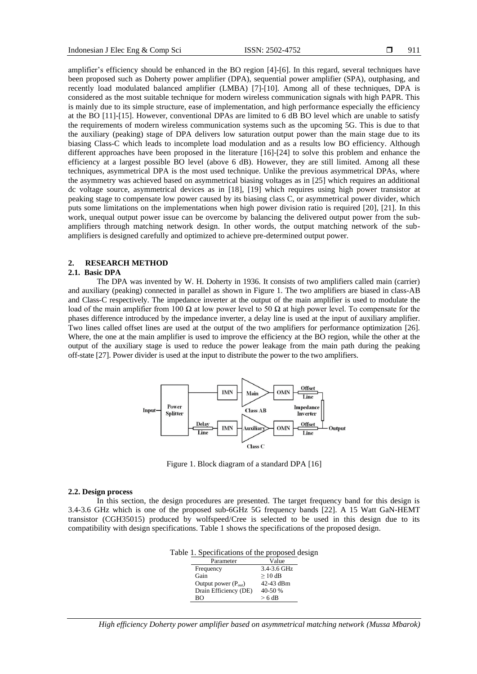amplifier's efficiency should be enhanced in the BO region [4]-[6]. In this regard, several techniques have been proposed such as Doherty power amplifier (DPA), sequential power amplifier (SPA), outphasing, and recently load modulated balanced amplifier (LMBA) [7]-[10]. Among all of these techniques, DPA is considered as the most suitable technique for modern wireless communication signals with high PAPR. This is mainly due to its simple structure, ease of implementation, and high performance especially the efficiency at the BO [11]-[15]. However, conventional DPAs are limited to 6 dB BO level which are unable to satisfy the requirements of modern wireless communication systems such as the upcoming 5G. This is due to that the auxiliary (peaking) stage of DPA delivers low saturation output power than the main stage due to its biasing Class-C which leads to incomplete load modulation and as a results low BO efficiency. Although different approaches have been proposed in the literature [16]-[24] to solve this problem and enhance the efficiency at a largest possible BO level (above 6 dB). However, they are still limited. Among all these techniques, asymmetrical DPA is the most used technique. Unlike the previous asymmetrical DPAs, where the asymmetry was achieved based on asymmetrical biasing voltages as in [25] which requires an additional dc voltage source, asymmetrical devices as in [18], [19] which requires using high power transistor at peaking stage to compensate low power caused by its biasing class C, or asymmetrical power divider, which puts some limitations on the implementations when high power division ratio is required [20], [21]. In this work, unequal output power issue can be overcome by balancing the delivered output power from the subamplifiers through matching network design. In other words, the output matching network of the subamplifiers is designed carefully and optimized to achieve pre-determined output power.

#### **2. RESEARCH METHOD**

#### **2.1. Basic DPA**

The DPA was invented by W. H. Doherty in 1936. It consists of two amplifiers called main (carrier) and auxiliary (peaking) connected in parallel as shown in Figure 1. The two amplifiers are biased in class-AB and Class-C respectively. The impedance inverter at the output of the main amplifier is used to modulate the load of the main amplifier from 100 Ω at low power level to 50 Ω at high power level. To compensate for the phases difference introduced by the impedance inverter, a delay line is used at the input of auxiliary amplifier. Two lines called offset lines are used at the output of the two amplifiers for performance optimization [26]. Where, the one at the main amplifier is used to improve the efficiency at the BO region, while the other at the output of the auxiliary stage is used to reduce the power leakage from the main path during the peaking off-state [27]. Power divider is used at the input to distribute the power to the two amplifiers.



Figure 1. Block diagram of a standard DPA [16]

#### **2.2. Design process**

In this section, the design procedures are presented. The target frequency band for this design is 3.4-3.6 GHz which is one of the proposed sub-6GHz 5G frequency bands [22]. A 15 Watt GaN-HEMT transistor (CGH35015) produced by wolfspeed/Cree is selected to be used in this design due to its compatibility with design specifications. Table 1 shows the specifications of the proposed design.

| Table 1. Specifications of the proposed design |             |  |
|------------------------------------------------|-------------|--|
| Parameter                                      | Value       |  |
| Frequency                                      | 3.4-3.6 GHz |  |
| Gain                                           | $> 10$ dB   |  |
| Output power $(P_{\text{out}})$                | 42-43 dBm   |  |
| Drain Efficiency (DE)                          | $40-50%$    |  |

Drain Efficiency (DE)<br>BO

*High efficiency Doherty power amplifier based on asymmetrical matching network (Mussa Mbarok)*

 $> 6 dB$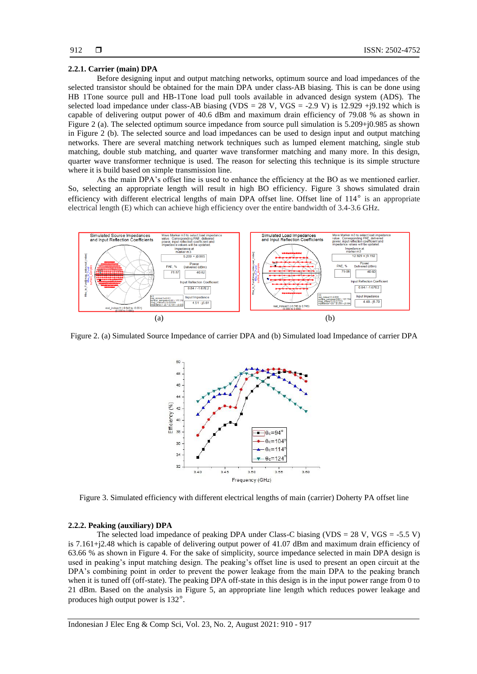#### **2.2.1. Carrier (main) DPA**

Before designing input and output matching networks, optimum source and load impedances of the selected transistor should be obtained for the main DPA under class-AB biasing. This is can be done using HB 1Tone source pull and HB-1Tone load pull tools available in advanced design system (ADS). The selected load impedance under class-AB biasing (VDS = 28 V, VGS = -2.9 V) is 12.929 +j9.192 which is capable of delivering output power of 40.6 dBm and maximum drain efficiency of 79.08 % as shown in Figure 2 (a). The selected optimum source impedance from source pull simulation is 5.209+j0.985 as shown in Figure 2 (b). The selected source and load impedances can be used to design input and output matching networks. There are several matching network techniques such as lumped element matching, single stub matching, double stub matching, and quarter wave transformer matching and many more. In this design, quarter wave transformer technique is used. The reason for selecting this technique is its simple structure where it is build based on simple transmission line.

As the main DPA's offset line is used to enhance the efficiency at the BO as we mentioned earlier. So, selecting an appropriate length will result in high BO efficiency. Figure 3 shows simulated drain efficiency with different electrical lengths of main DPA offset line. Offset line of 114° is an appropriate electrical length (E) which can achieve high efficiency over the entire bandwidth of 3.4-3.6 GHz.



Figure 2. (a) Simulated Source Impedance of carrier DPA and (b) Simulated load Impedance of carrier DPA



Figure 3. Simulated efficiency with different electrical lengths of main (carrier) Doherty PA offset line

#### **2.2.2. Peaking (auxiliary) DPA**

The selected load impedance of peaking DPA under Class-C biasing (VDS = 28 V, VGS = -5.5 V) is 7.161+j2.48 which is capable of delivering output power of 41.07 dBm and maximum drain efficiency of 63.66 % as shown in Figure 4. For the sake of simplicity, source impedance selected in main DPA design is used in peaking's input matching design. The peaking's offset line is used to present an open circuit at the DPA's combining point in order to prevent the power leakage from the main DPA to the peaking branch when it is tuned off (off-state). The peaking DPA off-state in this design is in the input power range from 0 to 21 dBm. Based on the analysis in Figure 5, an appropriate line length which reduces power leakage and produces high output power is 132°.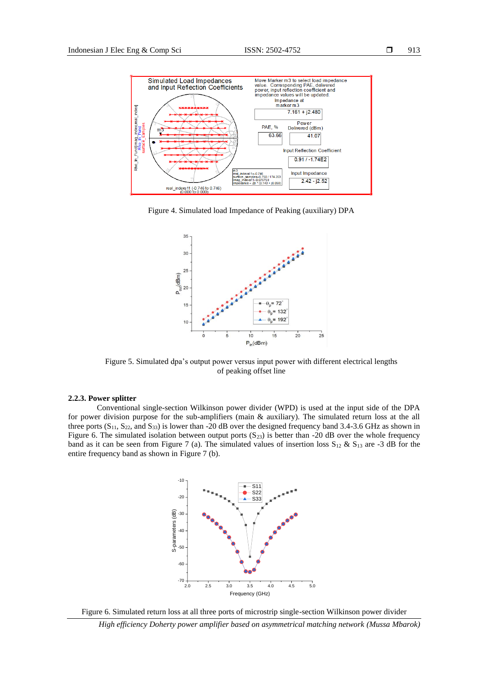

Figure 4. Simulated load Impedance of Peaking (auxiliary) DPA



Figure 5. Simulated dpa's output power versus input power with different electrical lengths of peaking offset line

#### **2.2.3. Power splitter**

Conventional single-section Wilkinson power divider (WPD) is used at the input side of the DPA for power division purpose for the sub-amplifiers (main & auxiliary). The simulated return loss at the all three ports  $(S_{11}, S_{22},$  and  $S_{33})$  is lower than -20 dB over the designed frequency band 3.4-3.6 GHz as shown in Figure 6. The simulated isolation between output ports  $(S_{23})$  is better than -20 dB over the whole frequency band as it can be seen from Figure 7 (a). The simulated values of insertion loss  $S_{12} \& S_{13}$  are -3 dB for the entire frequency band as shown in Figure 7 (b).



Figure 6. Simulated return loss at all three ports of microstrip single-section Wilkinson power divider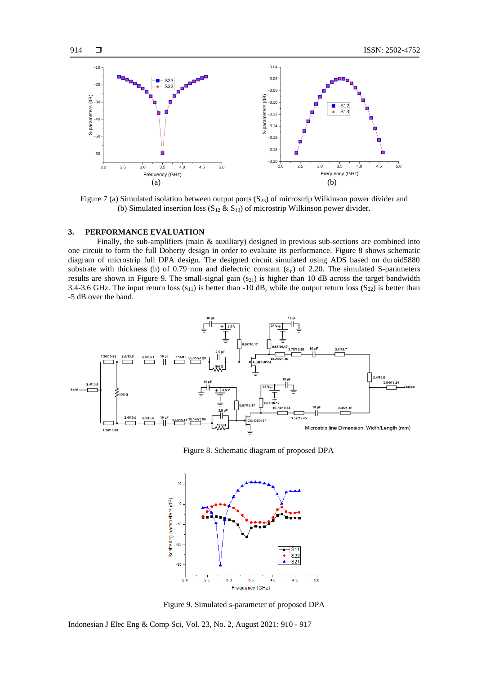

Figure 7 (a) Simulated isolation between output ports  $(S_{23})$  of microstrip Wilkinson power divider and (b) Simulated insertion loss  $(S_{12} \& S_{13})$  of microstrip Wilkinson power divider.

#### **3. PERFORMANCE EVALUATION**

Finally, the sub-amplifiers (main & auxiliary) designed in previous sub-sections are combined into one circuit to form the full Doherty design in order to evaluate its performance. Figure 8 shows schematic diagram of microstrip full DPA design. The designed circuit simulated using ADS based on duroid5880 substrate with thickness (h) of 0.79 mm and dielectric constant  $(\epsilon_r)$  of 2.20. The simulated S-parameters results are shown in Figure 9. The small-signal gain  $(s_{21})$  is higher than 10 dB across the target bandwidth 3.4-3.6 GHz. The input return loss  $(s_{11})$  is better than -10 dB, while the output return loss  $(S_{22})$  is better than -5 dB over the band.



Figure 8. Schematic diagram of proposed DPA



Figure 9. Simulated s-parameter of proposed DPA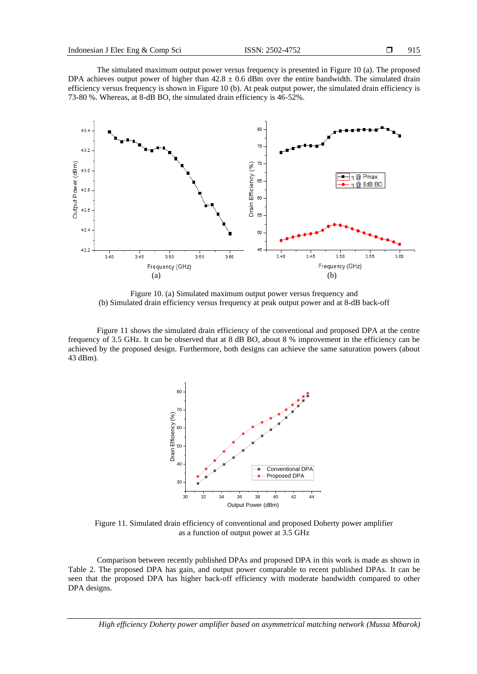The simulated maximum output power versus frequency is presented in Figure 10 (a). The proposed DPA achieves output power of higher than  $42.8 \pm 0.6$  dBm over the entire bandwidth. The simulated drain efficiency versus frequency is shown in Figure 10 (b). At peak output power, the simulated drain efficiency is 73-80 %. Whereas, at 8-dB BO, the simulated drain efficiency is 46-52%.



Figure 10. (a) Simulated maximum output power versus frequency and (b) Simulated drain efficiency versus frequency at peak output power and at 8-dB back-off

Figure 11 shows the simulated drain efficiency of the conventional and proposed DPA at the centre frequency of 3.5 GHz. It can be observed that at 8 dB BO, about 8 % improvement in the efficiency can be achieved by the proposed design. Furthermore, both designs can achieve the same saturation powers (about 43 dBm).



Figure 11. Simulated drain efficiency of conventional and proposed Doherty power amplifier as a function of output power at 3.5 GHz

Comparison between recently published DPAs and proposed DPA in this work is made as shown in Table 2. The proposed DPA has gain, and output power comparable to recent published DPAs. It can be seen that the proposed DPA has higher back-off efficiency with moderate bandwidth compared to other DPA designs.

*High efficiency Doherty power amplifier based on asymmetrical matching network (Mussa Mbarok)*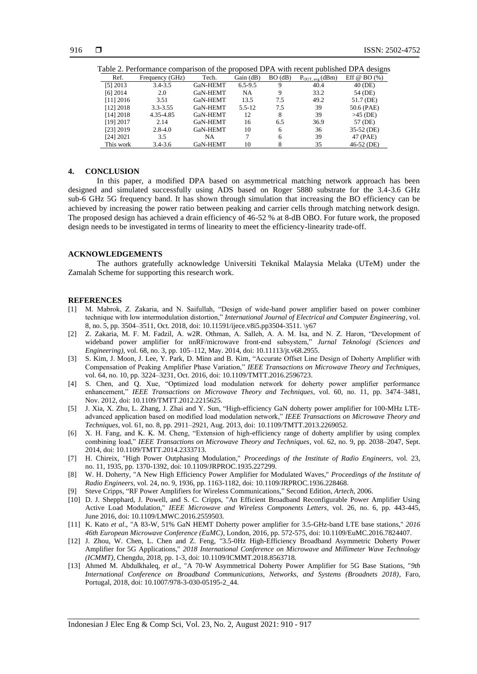|            | able 2. Ferrormance comparison of the proposed DFA with recent published DFA designs |                 |             |               |                     |                  |
|------------|--------------------------------------------------------------------------------------|-----------------|-------------|---------------|---------------------|------------------|
| Ref.       | Frequency (GHz)                                                                      | Tech.           | Gain(dB)    | $BO$ ( $dB$ ) | $P_{OUT, avg}(dBm)$ | Eff @ BO $(\% )$ |
| $[5]$ 2013 | $3.4 - 3.5$                                                                          | <b>GaN-HEMT</b> | $6.5 - 9.5$ | 9             | 40.4                | 40 (DE)          |
| $[6]$ 2014 | 2.0                                                                                  | GaN-HEMT        | NA          | 9             | 33.2                | 54 (DE)          |
| [11] 2016  | 3.51                                                                                 | GaN-HEMT        | 13.5        | 7.5           | 49.2                | 51.7 (DE)        |
| [12] 2018  | $3.3 - 3.55$                                                                         | <b>GaN-HEMT</b> | $5.5 - 12$  | 7.5           | 39                  | 50.6 (PAE)       |
| [14] 2018  | 4.35-4.85                                                                            | GaN-HEMT        | 12          | 8             | 39                  | $>45$ (DE)       |
| [19] 2017  | 2.14                                                                                 | GaN-HEMT        | 16          | 6.5           | 36.9                | 57 (DE)          |
| [23] 2019  | $2.8 - 4.0$                                                                          | GaN-HEMT        | 10          | 6             | 36                  | 35-52 (DE)       |
| [24] 2021  | 3.5                                                                                  | NA.             | 7           | 6             | 39                  | 47 (PAE)         |
| This work  | $3.4 - 3.6$                                                                          | GaN-HEMT        | 10          | 8             | 35                  | 46-52 (DE)       |

## Table 2. Performance comparison of the proposed DPA with recent published DPA designs

#### **4. CONCLUSION**

In this paper, a modified DPA based on asymmetrical matching network approach has been designed and simulated successfully using ADS based on Roger 5880 substrate for the 3.4-3.6 GHz sub-6 GHz 5G frequency band. It has shown through simulation that increasing the BO efficiency can be achieved by increasing the power ratio between peaking and carrier cells through matching network design. The proposed design has achieved a drain efficiency of 46-52 % at 8-dB OBO. For future work, the proposed design needs to be investigated in terms of linearity to meet the efficiency-linearity trade-off.

#### **ACKNOWLEDGEMENTS**

The authors gratefully acknowledge Universiti Teknikal Malaysia Melaka (UTeM) under the Zamalah Scheme for supporting this research work.

#### **REFERENCES**

- [1] M. Mabrok, Z. Zakaria, and N. Saifullah, "Design of wide-band power amplifier based on power combiner technique with low intermodulation distortion," *International Journal of Electrical and Computer Engineering*, vol. 8, no. 5, pp. 3504–3511, Oct. 2018, doi[: 10.11591/ijece.v8i5.pp3504-3511.](http://doi.org/10.11591/ijece.v8i5.pp3504-3511) \y67
- [2] Z. Zakaria, M. F. M. Fadzil, A. w2R. Othman, A. Salleh, A. A. M. Isa, and N. Z. Haron, "Development of wideband power amplifier for nnRF/microwave front-end subsystem," *Jurnal Teknologi (Sciences and Engineering),* vol. 68, no. 3, pp. 105–112, May. 2014, doi: 10.11113/jt.v68.2955.
- [3] S. Kim, J. Moon, J. Lee, Y. Park, D. Minn and B. Kim, "Accurate Offset Line Design of Doherty Amplifier with Compensation of Peaking Amplifier Phase Variation," *IEEE Transactions on Microwave Theory and Techniques*, vol. 64, no. 10, pp. 3224–3231, Oct. 2016, doi: 10.1109/TMTT.2016.2596723.
- [4] S. Chen, and Q. Xue, "Optimized load modulation network for doherty power amplifier performance enhancement," *IEEE Transactions on Microwave Theory and Techniques*, vol. 60, no. 11, pp. 3474–3481, Nov. 2012, doi: 10.1109/TMTT.2012.2215625.
- [5] J. Xia, X. Zhu, L. Zhang, J. Zhai and Y. Sun, "High-efficiency GaN doherty power amplifier for 100-MHz LTEadvanced application based on modified load modulation network," *IEEE Transactions on Microwave Theory and Techniques*, vol. 61, no. 8, pp. 2911–2921, Aug. 2013, doi: 10.1109/TMTT.2013.2269052.
- [6] X. H. Fang, and K. K. M. Cheng, "Extension of high-efficiency range of doherty amplifier by using complex combining load," *IEEE Transactions on Microwave Theory and Techniques*, vol. 62, no. 9, pp. 2038–2047, Sept. 2014, doi: 10.1109/TMTT.2014.2333713.
- [7] H. Chireix, "High Power Outphasing Modulation," *Proceedings of the Institute of Radio Engineers*, vol. 23, no. 11, 1935, pp. 1370-1392, doi: 10.1109/JRPROC.1935.227299.
- [8] W. H. Doherty, "A New High Efficiency Power Amplifier for Modulated Waves," *Proceedings of the Institute of Radio Engineers,* vol. 24, no. 9, 1936, pp. 1163-1182, doi: 10.1109/JRPROC.1936.228468.
- [9] Steve Cripps, "RF Power Amplifiers for Wireless Communications," Second Edition, *Artech*, 2006.
- [10] D. J. Shepphard, J. Powell, and S. C. Cripps, "An Efficient Broadband Reconfigurable Power Amplifier Using Active Load Modulation," *IEEE Microwave and Wireless Components Letters*, vol. 26, no. 6, pp. 443-445, June 2016, doi: 10.1109/LMWC.2016.2559503.
- [11] K. Kato *et al*., "A 83-W, 51% GaN HEMT Doherty power amplifier for 3.5-GHz-band LTE base stations," *2016 46th European Microwave Conference (EuMC)*, London, 2016, pp. 572-575, doi: 10.1109/EuMC.2016.7824407.
- [12] J. Zhou, W. Chen, L. Chen and Z. Feng, "3.5-0Hz High-Efficiency Broadband Asymmetric Doherty Power Amplifier for 5G Applications," *2018 International Conference on Microwave and Millimeter Wave Technology (ICMMT)*, Chengdu, 2018, pp. 1-3, doi: 10.1109/ICMMT.2018.8563718.
- [13] Ahmed M. Abdulkhaleq, *et al*., "A 70-W Asymmetrical Doherty Power Amplifier for 5G Base Stations, "*9th International Conference on Broadband Communications, Networks, and Systems (Broadnets 2018)*, Faro, Portugal, 2018, doi: 10.1007/978-3-030-05195-2\_44.